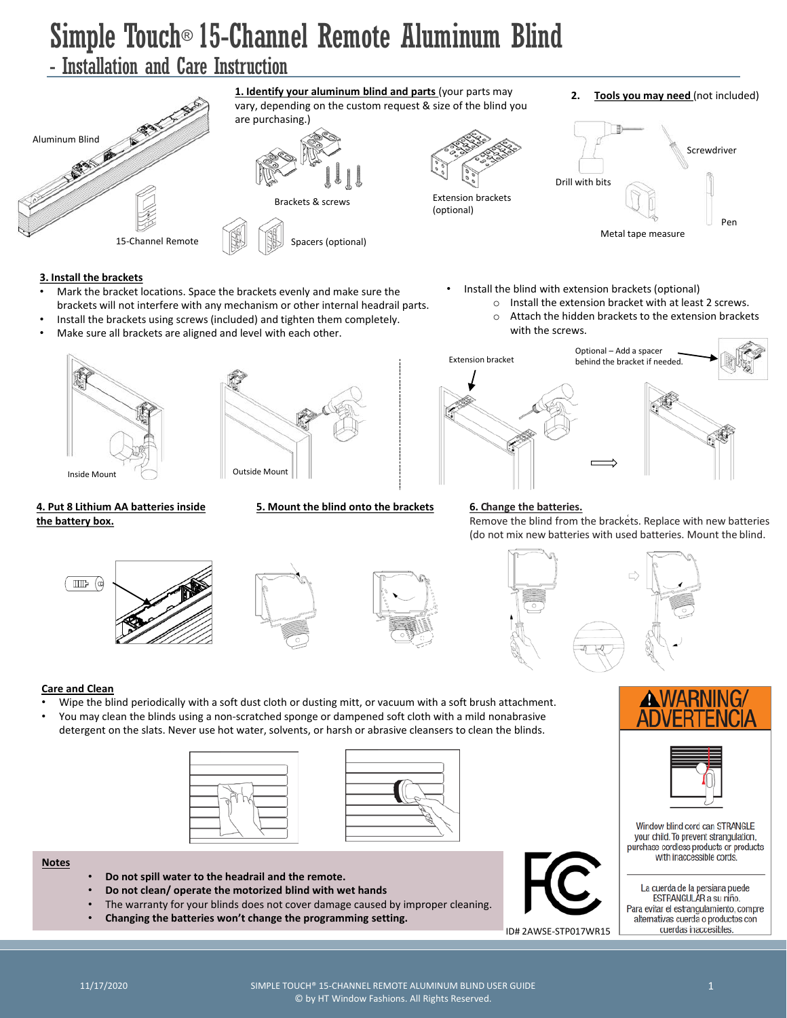# Simple Touch® 15-Channel Remote Aluminum Blind

### - Installation and Care Instruction



#### **3. Install the brackets**

- Mark the bracket locations. Space the brackets evenly and make sure the brackets will not interfere with any mechanism or other internal headrail parts.
- Install the brackets using screws (included) and tighten them completely.
- Make sure all brackets are aligned and level with each other.





### **4. Put 8 Lithium AA batteries inside the battery box.**

- Install the blind with extension brackets (optional)
	- $\circ$  Install the extension bracket with at least 2 screws.<br> $\circ$  Attach the hidden brackets to the extension bracke
	- Attach the hidden brackets to the extension brackets with the screws.



### **5. Mount the blind onto the brackets 6. Change the batteries.** Remove the blind from the brackets. Replace with new batteries (do not mix new batteries with used batteries. Mount the blind.









### **Care and Clean**

- Wipe the blind periodically with a soft dust cloth or dusting mitt, or vacuum with a soft brush attachment.
- You may clean the blinds using a non-scratched sponge or dampened soft cloth with a mild nonabrasive detergent on the slats. Never use hot water, solvents, or harsh or abrasive cleansers to clean the blinds.





#### **Notes**

- **Do not spill water to the headrail and the remote.**
- **Do not clean/ operate the motorized blind with wet hands**
- The warranty for your blinds does not cover damage caused by improper cleaning.
- **Changing the batteries won't change the programming setting.**



ID# 2AWSE-STP017WR15





Window blind cord can STRANGLE your child. To prevent strangulation, purchase cordless products or products with inaccessible cords.

La cuerda de la persiana puede ESTRANGULAR a su niño. Para evitar el estrangulamiento, compre alternativas cuerda o productos con cuerdas inaccesibles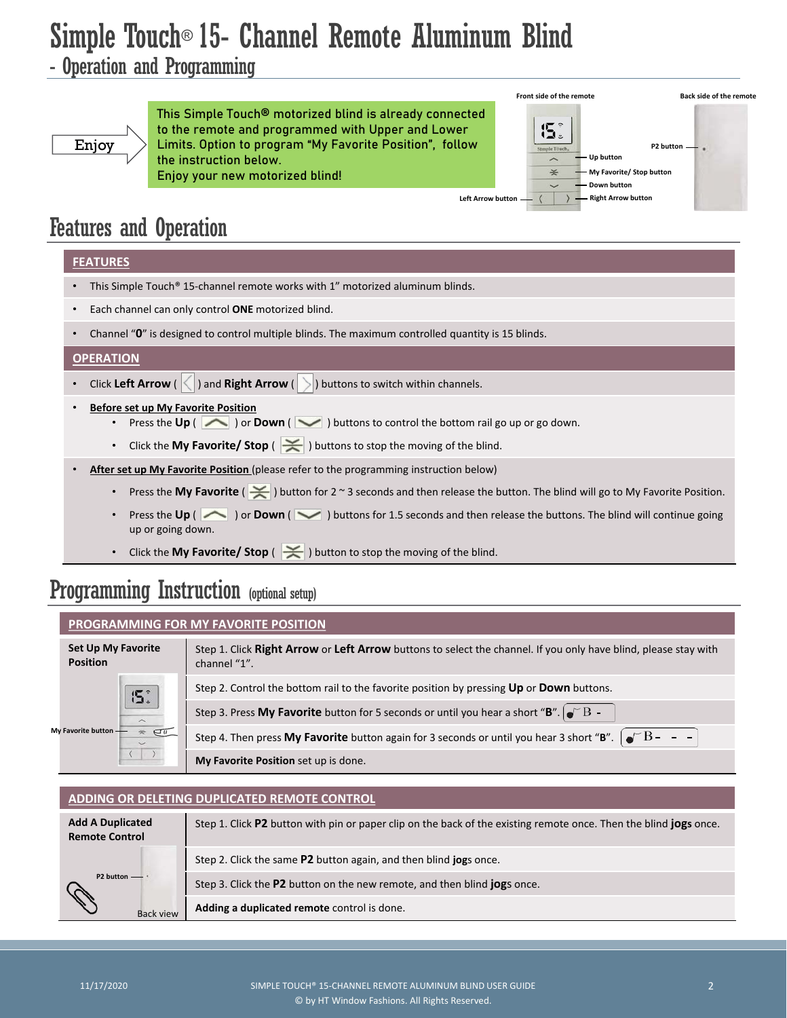## Simple Touch® 15- Channel Remote Aluminum Blind

### - Operation and Programming



This Simple Touch® motorized blind is already connected to the remote and programmed with Upper and Lower Limits. Option to program "My Favorite Position", follow the instruction below. Enjoy your new motorized blind!



## Features and Operation

### **FEATURES**

- This Simple Touch® 15-channel remote works with 1" motorized aluminum blinds.
- Each channel can only control **ONE** motorized blind.
- Channel "**0**" is designed to control multiple blinds. The maximum controlled quantity is 15 blinds.

### **OPERATION**

- Click Left Arrow (  $\leq$  ) and Right Arrow (  $\geq$  ) buttons to switch within channels.
- **Before set up My Favorite Position**
	- Press the **Up** (  $\sim$  ) or **Down** (  $\sim$  ) buttons to control the bottom rail go up or go down.
	- Click the My Favorite/ Stop ( $\leq$ ) buttons to stop the moving of the blind.
- **After set up My Favorite Position** (please refer to the programming instruction below)
	- Press the **My Favorite** ( ) button for 2 ~ 3 seconds and then release the button. The blind will go to My Favorite Position.
	- **Press the Up** ( ) or **Down** ( ) buttons for 1.5 seconds and then release the buttons. The blind will continue going up or going down.
	- Click the **My Favorite/ Stop** ( $\leq$ ) button to stop the moving of the blind.

## Programming Instruction (optional setup)

### **PROGRAMMING FOR MY FAVORITE POSITION**

| <b>Set Up My Favorite</b><br><b>Position</b>                                     | Step 1. Click Right Arrow or Left Arrow buttons to select the channel. If you only have blind, please stay with<br>channel "1". |
|----------------------------------------------------------------------------------|---------------------------------------------------------------------------------------------------------------------------------|
| <b>15.</b><br>$\overline{\phantom{1}}$<br>My Favorite button -<br>$\overline{C}$ | Step 2. Control the bottom rail to the favorite position by pressing Up or Down buttons.                                        |
|                                                                                  | Step 3. Press My Favorite button for 5 seconds or until you hear a short "B". $\bullet$ B                                       |
|                                                                                  | Step 4. Then press My Favorite button again for 3 seconds or until you hear 3 short "B". $\int e^{r}B - -$                      |
|                                                                                  | My Favorite Position set up is done.                                                                                            |

### **ADDING OR DELETING DUPLICATED REMOTE CONTROL**

| <b>Add A Duplicated</b><br><b>Remote Control</b> | Step 1. Click P2 button with pin or paper clip on the back of the existing remote once. Then the blind <b>jogs</b> once. |
|--------------------------------------------------|--------------------------------------------------------------------------------------------------------------------------|
| $P2$ button $-\blacksquare$<br><b>Back view</b>  | Step 2. Click the same P2 button again, and then blind jogs once.                                                        |
|                                                  | Step 3. Click the P2 button on the new remote, and then blind jogs once.                                                 |
|                                                  | Adding a duplicated remote control is done.                                                                              |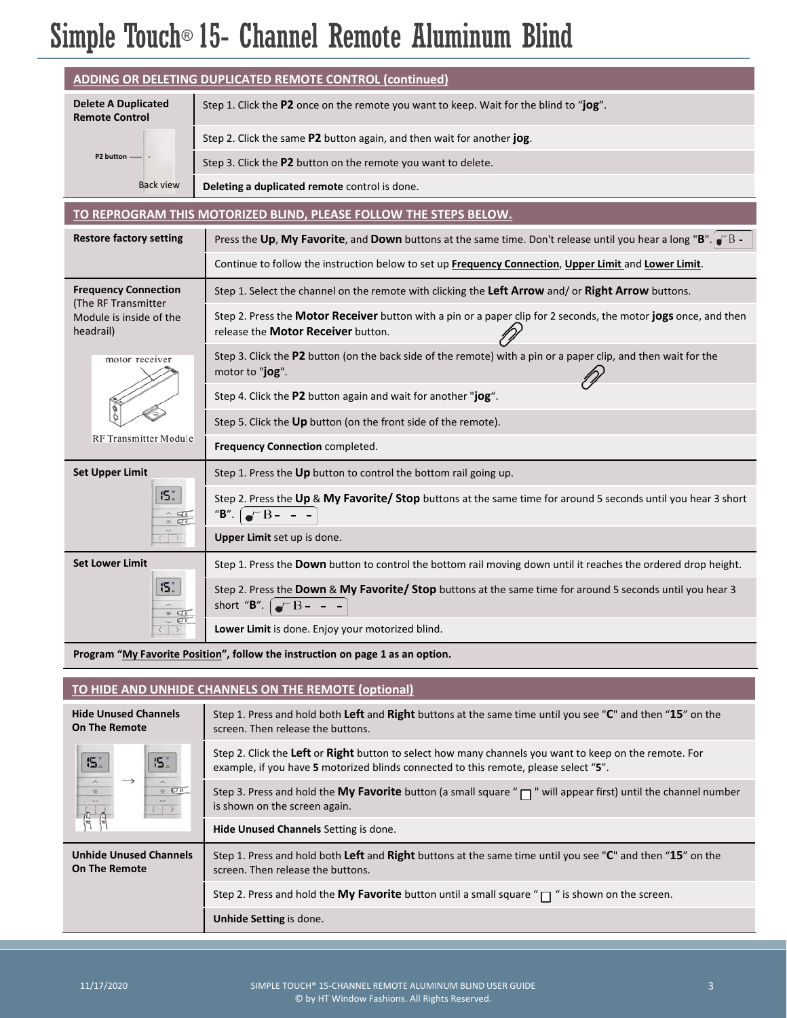# Simple Touch® 15- Channel Remote Aluminum Blind

| ADDING OR DELETING DUPLICATED REMOTE CONTROL (continued)                                   |                                                                                                                                                       |  |
|--------------------------------------------------------------------------------------------|-------------------------------------------------------------------------------------------------------------------------------------------------------|--|
| <b>Delete A Duplicated</b><br><b>Remote Control</b>                                        | Step 1. Click the P2 once on the remote you want to keep. Wait for the blind to "jog".                                                                |  |
|                                                                                            | Step 2. Click the same P2 button again, and then wait for another jog.                                                                                |  |
| P2 button -                                                                                | Step 3. Click the P2 button on the remote you want to delete.                                                                                         |  |
| <b>Back view</b>                                                                           | Deleting a duplicated remote control is done.                                                                                                         |  |
| TO REPROGRAM THIS MOTORIZED BLIND, PLEASE FOLLOW THE STEPS BELOW.                          |                                                                                                                                                       |  |
| <b>Restore factory setting</b>                                                             | Press the Up, My Favorite, and Down buttons at the same time. Don't release until you hear a long "B". $\bullet$ "B                                   |  |
|                                                                                            | Continue to follow the instruction below to set up Frequency Connection, Upper Limit and Lower Limit.                                                 |  |
| <b>Frequency Connection</b><br>(The RF Transmitter<br>Module is inside of the<br>headrail) | Step 1. Select the channel on the remote with clicking the Left Arrow and/ or Right Arrow buttons.                                                    |  |
|                                                                                            | Step 2. Press the Motor Receiver button with a pin or a paper clip for 2 seconds, the motor jogs once, and then<br>release the Motor Receiver button. |  |
| motor receiver                                                                             | Step 3. Click the P2 button (on the back side of the remote) with a pin or a paper clip, and then wait for the<br>motor to "jog".                     |  |
|                                                                                            | Step 4. Click the P2 button again and wait for another "jog".                                                                                         |  |
|                                                                                            | Step 5. Click the Up button (on the front side of the remote).                                                                                        |  |
| RF Transmitter Module                                                                      | Frequency Connection completed.                                                                                                                       |  |
| <b>Set Upper Limit</b>                                                                     | Step 1. Press the Up button to control the bottom rail going up.                                                                                      |  |
| 5.3<br>$\hat{a}$<br>$\approx$ $\sigma$                                                     | Step 2. Press the Up & My Favorite/ Stop buttons at the same time for around 5 seconds until you hear 3 short<br>"B".<br>$\bullet$ <sup>-B</sup> - -  |  |
|                                                                                            | Upper Limit set up is done.                                                                                                                           |  |
| <b>Set Lower Limit</b>                                                                     | Step 1. Press the Down button to control the bottom rail moving down until it reaches the ordered drop height.                                        |  |
| 5.                                                                                         | Step 2. Press the Down & My Favorite/ Stop buttons at the same time for around 5 seconds until you hear 3<br>short "B". $\int e^{x} B -$              |  |
|                                                                                            | Lower Limit is done. Enjoy your motorized blind.                                                                                                      |  |

Program "My Favorite Position", follow the instruction on page 1 as an option.

### **TO HIDE AND UNHIDE CHANNELS ON THE REMOTE (optional)**

| <b>Hide Unused Channels</b><br><b>On The Remote</b>                                                                                                                                                                                                                                                                                                                                                                                                                                                             | Step 1. Press and hold both Left and Right buttons at the same time until you see "C" and then "15" on the<br>screen. Then release the buttons.                                                |
|-----------------------------------------------------------------------------------------------------------------------------------------------------------------------------------------------------------------------------------------------------------------------------------------------------------------------------------------------------------------------------------------------------------------------------------------------------------------------------------------------------------------|------------------------------------------------------------------------------------------------------------------------------------------------------------------------------------------------|
| 5.<br><b>15</b><br>$\begin{array}{c c} \vspace{0.2cm} \begin{array}{ c c } \hline \vspace{0.2cm} \hline \vspace{0.2cm} \end{array} & \begin{array}{ c c } \hline \vspace{0.2cm} \hline \vspace{0.2cm} \end{array} & \begin{array}{ c c } \hline \vspace{0.2cm} \end{array} & \begin{array}{ c c } \hline \vspace{0.2cm} \end{array} & \begin{array}{ c c } \hline \vspace{0.2cm} \end{array} & \begin{array}{ c c } \hline \vspace{0.2cm} \end{array} & \begin{array$<br>$\rightarrow$<br>$\frac{\sim}{\times}$ | Step 2. Click the Left or Right button to select how many channels you want to keep on the remote. For<br>example, if you have 5 motorized blinds connected to this remote, please select "5". |
|                                                                                                                                                                                                                                                                                                                                                                                                                                                                                                                 | Step 3. Press and hold the My Favorite button (a small square " $\Box$ " will appear first) until the channel number<br>is shown on the screen again.                                          |
|                                                                                                                                                                                                                                                                                                                                                                                                                                                                                                                 | Hide Unused Channels Setting is done.                                                                                                                                                          |
| <b>Unhide Unused Channels</b><br><b>On The Remote</b>                                                                                                                                                                                                                                                                                                                                                                                                                                                           | Step 1. Press and hold both Left and Right buttons at the same time until you see "C" and then "15" on the<br>screen. Then release the buttons.                                                |
|                                                                                                                                                                                                                                                                                                                                                                                                                                                                                                                 | Step 2. Press and hold the My Favorite button until a small square " $\Box$ " is shown on the screen.                                                                                          |
|                                                                                                                                                                                                                                                                                                                                                                                                                                                                                                                 | Unhide Setting is done.                                                                                                                                                                        |